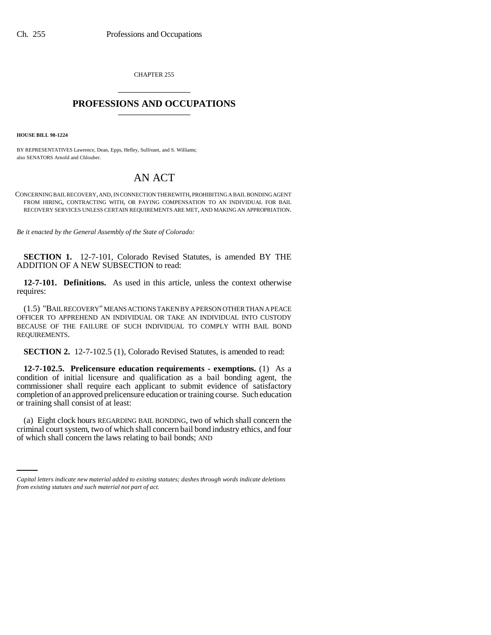CHAPTER 255 \_\_\_\_\_\_\_\_\_\_\_\_\_\_\_

## **PROFESSIONS AND OCCUPATIONS** \_\_\_\_\_\_\_\_\_\_\_\_\_\_\_

**HOUSE BILL 98-1224**

BY REPRESENTATIVES Lawrence, Dean, Epps, Hefley, Sullivant, and S. Williams; also SENATORS Arnold and Chlouber.

## AN ACT

CONCERNING BAIL RECOVERY, AND, IN CONNECTION THEREWITH, PROHIBITING A BAIL BONDING AGENT FROM HIRING, CONTRACTING WITH, OR PAYING COMPENSATION TO AN INDIVIDUAL FOR BAIL RECOVERY SERVICES UNLESS CERTAIN REQUIREMENTS ARE MET, AND MAKING AN APPROPRIATION.

*Be it enacted by the General Assembly of the State of Colorado:*

**SECTION 1.** 12-7-101, Colorado Revised Statutes, is amended BY THE ADDITION OF A NEW SUBSECTION to read:

**12-7-101. Definitions.** As used in this article, unless the context otherwise requires:

(1.5) "BAIL RECOVERY" MEANS ACTIONS TAKEN BY A PERSON OTHER THAN A PEACE OFFICER TO APPREHEND AN INDIVIDUAL OR TAKE AN INDIVIDUAL INTO CUSTODY BECAUSE OF THE FAILURE OF SUCH INDIVIDUAL TO COMPLY WITH BAIL BOND REQUIREMENTS.

**SECTION 2.** 12-7-102.5 (1), Colorado Revised Statutes, is amended to read:

**12-7-102.5. Prelicensure education requirements - exemptions.** (1) As a condition of initial licensure and qualification as a bail bonding agent, the commissioner shall require each applicant to submit evidence of satisfactory completion of an approved prelicensure education or training course. Such education or training shall consist of at least:

criminal court system, two of which shall concern bail bond industry ethics, and four (a) Eight clock hours REGARDING BAIL BONDING, two of which shall concern the of which shall concern the laws relating to bail bonds; AND

*Capital letters indicate new material added to existing statutes; dashes through words indicate deletions from existing statutes and such material not part of act.*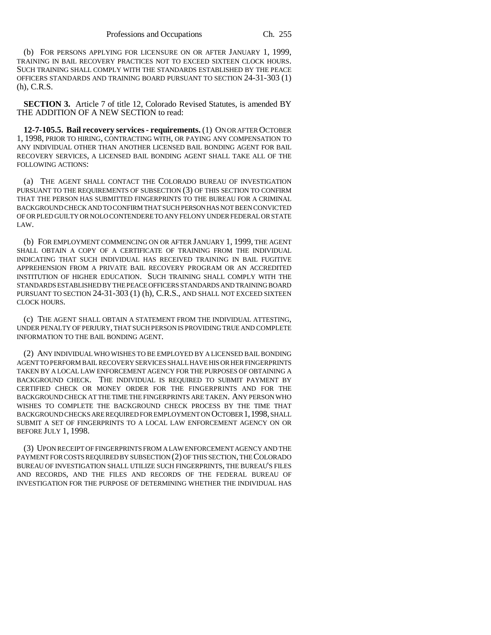(b) FOR PERSONS APPLYING FOR LICENSURE ON OR AFTER JANUARY 1, 1999, TRAINING IN BAIL RECOVERY PRACTICES NOT TO EXCEED SIXTEEN CLOCK HOURS. SUCH TRAINING SHALL COMPLY WITH THE STANDARDS ESTABLISHED BY THE PEACE OFFICERS STANDARDS AND TRAINING BOARD PURSUANT TO SECTION 24-31-303 (1) (h), C.R.S.

**SECTION 3.** Article 7 of title 12, Colorado Revised Statutes, is amended BY THE ADDITION OF A NEW SECTION to read:

**12-7-105.5. Bail recovery services - requirements.** (1) ON OR AFTER OCTOBER 1, 1998, PRIOR TO HIRING, CONTRACTING WITH, OR PAYING ANY COMPENSATION TO ANY INDIVIDUAL OTHER THAN ANOTHER LICENSED BAIL BONDING AGENT FOR BAIL RECOVERY SERVICES, A LICENSED BAIL BONDING AGENT SHALL TAKE ALL OF THE FOLLOWING ACTIONS:

(a) THE AGENT SHALL CONTACT THE COLORADO BUREAU OF INVESTIGATION PURSUANT TO THE REQUIREMENTS OF SUBSECTION (3) OF THIS SECTION TO CONFIRM THAT THE PERSON HAS SUBMITTED FINGERPRINTS TO THE BUREAU FOR A CRIMINAL BACKGROUND CHECK AND TO CONFIRM THAT SUCH PERSON HAS NOT BEEN CONVICTED OF OR PLED GUILTY OR NOLO CONTENDERE TO ANY FELONY UNDER FEDERAL OR STATE LAW.

(b) FOR EMPLOYMENT COMMENCING ON OR AFTER JANUARY 1, 1999, THE AGENT SHALL OBTAIN A COPY OF A CERTIFICATE OF TRAINING FROM THE INDIVIDUAL INDICATING THAT SUCH INDIVIDUAL HAS RECEIVED TRAINING IN BAIL FUGITIVE APPREHENSION FROM A PRIVATE BAIL RECOVERY PROGRAM OR AN ACCREDITED INSTITUTION OF HIGHER EDUCATION. SUCH TRAINING SHALL COMPLY WITH THE STANDARDS ESTABLISHED BY THE PEACE OFFICERS STANDARDS AND TRAINING BOARD PURSUANT TO SECTION 24-31-303 (1) (h), C.R.S., AND SHALL NOT EXCEED SIXTEEN CLOCK HOURS.

(c) THE AGENT SHALL OBTAIN A STATEMENT FROM THE INDIVIDUAL ATTESTING, UNDER PENALTY OF PERJURY, THAT SUCH PERSON IS PROVIDING TRUE AND COMPLETE INFORMATION TO THE BAIL BONDING AGENT.

(2) ANY INDIVIDUAL WHO WISHES TO BE EMPLOYED BY A LICENSED BAIL BONDING AGENT TO PERFORM BAIL RECOVERY SERVICES SHALL HAVE HIS OR HER FINGERPRINTS TAKEN BY A LOCAL LAW ENFORCEMENT AGENCY FOR THE PURPOSES OF OBTAINING A BACKGROUND CHECK. THE INDIVIDUAL IS REQUIRED TO SUBMIT PAYMENT BY CERTIFIED CHECK OR MONEY ORDER FOR THE FINGERPRINTS AND FOR THE BACKGROUND CHECK AT THE TIME THE FINGERPRINTS ARE TAKEN. ANY PERSON WHO WISHES TO COMPLETE THE BACKGROUND CHECK PROCESS BY THE TIME THAT BACKGROUND CHECKS ARE REQUIRED FOR EMPLOYMENT ON OCTOBER 1,1998, SHALL SUBMIT A SET OF FINGERPRINTS TO A LOCAL LAW ENFORCEMENT AGENCY ON OR BEFORE JULY 1, 1998.

(3) UPON RECEIPT OF FINGERPRINTS FROM A LAW ENFORCEMENT AGENCY AND THE PAYMENT FOR COSTS REQUIRED BY SUBSECTION (2) OF THIS SECTION, THE COLORADO BUREAU OF INVESTIGATION SHALL UTILIZE SUCH FINGERPRINTS, THE BUREAU'S FILES AND RECORDS, AND THE FILES AND RECORDS OF THE FEDERAL BUREAU OF INVESTIGATION FOR THE PURPOSE OF DETERMINING WHETHER THE INDIVIDUAL HAS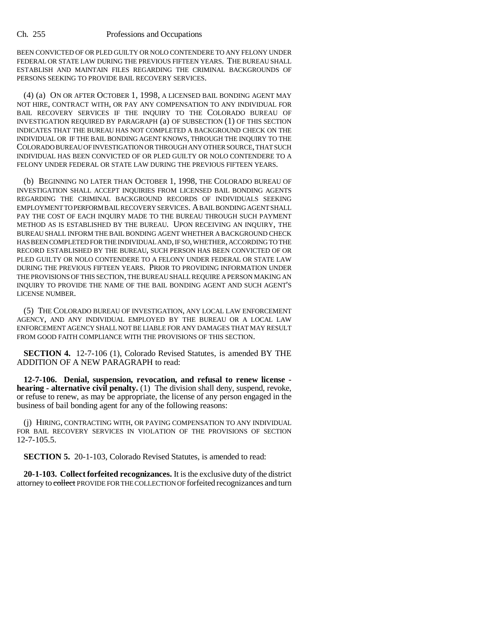BEEN CONVICTED OF OR PLED GUILTY OR NOLO CONTENDERE TO ANY FELONY UNDER FEDERAL OR STATE LAW DURING THE PREVIOUS FIFTEEN YEARS. THE BUREAU SHALL ESTABLISH AND MAINTAIN FILES REGARDING THE CRIMINAL BACKGROUNDS OF PERSONS SEEKING TO PROVIDE BAIL RECOVERY SERVICES.

(4) (a) ON OR AFTER OCTOBER 1, 1998, A LICENSED BAIL BONDING AGENT MAY NOT HIRE, CONTRACT WITH, OR PAY ANY COMPENSATION TO ANY INDIVIDUAL FOR BAIL RECOVERY SERVICES IF THE INQUIRY TO THE COLORADO BUREAU OF INVESTIGATION REQUIRED BY PARAGRAPH (a) OF SUBSECTION (1) OF THIS SECTION INDICATES THAT THE BUREAU HAS NOT COMPLETED A BACKGROUND CHECK ON THE INDIVIDUAL OR IF THE BAIL BONDING AGENT KNOWS, THROUGH THE INQUIRY TO THE COLORADO BUREAU OF INVESTIGATION OR THROUGH ANY OTHER SOURCE, THAT SUCH INDIVIDUAL HAS BEEN CONVICTED OF OR PLED GUILTY OR NOLO CONTENDERE TO A FELONY UNDER FEDERAL OR STATE LAW DURING THE PREVIOUS FIFTEEN YEARS.

(b) BEGINNING NO LATER THAN OCTOBER 1, 1998, THE COLORADO BUREAU OF INVESTIGATION SHALL ACCEPT INQUIRIES FROM LICENSED BAIL BONDING AGENTS REGARDING THE CRIMINAL BACKGROUND RECORDS OF INDIVIDUALS SEEKING EMPLOYMENT TO PERFORM BAIL RECOVERY SERVICES. A BAIL BONDING AGENT SHALL PAY THE COST OF EACH INQUIRY MADE TO THE BUREAU THROUGH SUCH PAYMENT METHOD AS IS ESTABLISHED BY THE BUREAU. UPON RECEIVING AN INQUIRY, THE BUREAU SHALL INFORM THE BAIL BONDING AGENT WHETHER A BACKGROUND CHECK HAS BEEN COMPLETED FOR THE INDIVIDUAL AND, IF SO, WHETHER, ACCORDING TO THE RECORD ESTABLISHED BY THE BUREAU, SUCH PERSON HAS BEEN CONVICTED OF OR PLED GUILTY OR NOLO CONTENDERE TO A FELONY UNDER FEDERAL OR STATE LAW DURING THE PREVIOUS FIFTEEN YEARS. PRIOR TO PROVIDING INFORMATION UNDER THE PROVISIONS OF THIS SECTION, THE BUREAU SHALL REQUIRE A PERSON MAKING AN INQUIRY TO PROVIDE THE NAME OF THE BAIL BONDING AGENT AND SUCH AGENT'S LICENSE NUMBER.

(5) THE COLORADO BUREAU OF INVESTIGATION, ANY LOCAL LAW ENFORCEMENT AGENCY, AND ANY INDIVIDUAL EMPLOYED BY THE BUREAU OR A LOCAL LAW ENFORCEMENT AGENCY SHALL NOT BE LIABLE FOR ANY DAMAGES THAT MAY RESULT FROM GOOD FAITH COMPLIANCE WITH THE PROVISIONS OF THIS SECTION.

**SECTION 4.** 12-7-106 (1), Colorado Revised Statutes, is amended BY THE ADDITION OF A NEW PARAGRAPH to read:

**12-7-106. Denial, suspension, revocation, and refusal to renew license hearing - alternative civil penalty.** (1) The division shall deny, suspend, revoke, or refuse to renew, as may be appropriate, the license of any person engaged in the business of bail bonding agent for any of the following reasons:

(j) HIRING, CONTRACTING WITH, OR PAYING COMPENSATION TO ANY INDIVIDUAL FOR BAIL RECOVERY SERVICES IN VIOLATION OF THE PROVISIONS OF SECTION 12-7-105.5.

**SECTION 5.** 20-1-103, Colorado Revised Statutes, is amended to read:

**20-1-103. Collect forfeited recognizances.** It is the exclusive duty of the district attorney to collect PROVIDE FOR THE COLLECTION OF forfeited recognizances and turn